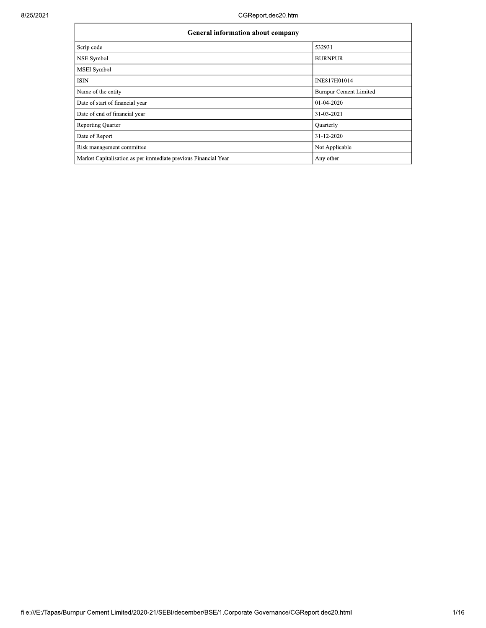| <b>General information about company</b>                       |                               |  |  |  |  |  |  |
|----------------------------------------------------------------|-------------------------------|--|--|--|--|--|--|
| Scrip code                                                     | 532931                        |  |  |  |  |  |  |
| NSE Symbol                                                     | <b>BURNPUR</b>                |  |  |  |  |  |  |
| <b>MSEI</b> Symbol                                             |                               |  |  |  |  |  |  |
| ISIN                                                           | INE817H01014                  |  |  |  |  |  |  |
| Name of the entity                                             | <b>Burnpur Cement Limited</b> |  |  |  |  |  |  |
| Date of start of financial year                                | 01-04-2020                    |  |  |  |  |  |  |
| Date of end of financial year                                  | 31-03-2021                    |  |  |  |  |  |  |
| <b>Reporting Quarter</b>                                       | Quarterly                     |  |  |  |  |  |  |
| Date of Report                                                 | 31-12-2020                    |  |  |  |  |  |  |
| Risk management committee                                      | Not Applicable                |  |  |  |  |  |  |
| Market Capitalisation as per immediate previous Financial Year | Any other                     |  |  |  |  |  |  |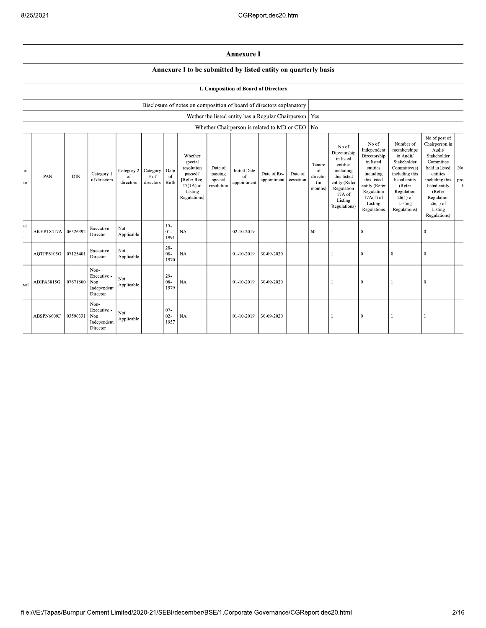## Annexure I

## Annexure I to be submitted by listed entity on quarterly basis

|  |  |  | I. Composition of Board of Directors |
|--|--|--|--------------------------------------|
|  |  |  |                                      |

|          |            |            |                                                       |                               |                               |                          | Disclosure of notes on composition of board of directors explanatory                                 |                                             |                                                          |                            |                      |                                            |                                                                                                                                                |                                                                                                                                                                   |                                                                                                                                                                          |                                                                                                                                                                                                         |           |
|----------|------------|------------|-------------------------------------------------------|-------------------------------|-------------------------------|--------------------------|------------------------------------------------------------------------------------------------------|---------------------------------------------|----------------------------------------------------------|----------------------------|----------------------|--------------------------------------------|------------------------------------------------------------------------------------------------------------------------------------------------|-------------------------------------------------------------------------------------------------------------------------------------------------------------------|--------------------------------------------------------------------------------------------------------------------------------------------------------------------------|---------------------------------------------------------------------------------------------------------------------------------------------------------------------------------------------------------|-----------|
|          |            |            |                                                       |                               |                               |                          |                                                                                                      |                                             | Wether the listed entity has a Regular Chairperson   Yes |                            |                      |                                            |                                                                                                                                                |                                                                                                                                                                   |                                                                                                                                                                          |                                                                                                                                                                                                         |           |
|          |            |            |                                                       |                               |                               |                          |                                                                                                      |                                             | Whether Chairperson is related to MD or CEO   No         |                            |                      |                                            |                                                                                                                                                |                                                                                                                                                                   |                                                                                                                                                                          |                                                                                                                                                                                                         |           |
| of<br>юr | PAN        | <b>DIN</b> | Category 1<br>of directors                            | Category 2<br>of<br>directors | Category<br>3 of<br>directors | Date<br>of<br>Birth      | Whether<br>special<br>resolution<br>passed?<br>[Refer Reg.<br>$17(1A)$ of<br>Listing<br>Regulations] | Date of<br>passing<br>special<br>resolution | <b>Initial Date</b><br>of<br>appointment                 | Date of Re-<br>appointment | Date of<br>cessation | Tenure<br>of<br>director<br>(in<br>months) | No of<br>Directorship<br>in listed<br>entities<br>including<br>this listed<br>entity (Refer<br>Regulation<br>17A of<br>Listing<br>Regulations) | No of<br>Independent<br>Directorship<br>in listed<br>entities<br>including<br>this listed<br>entity (Refer<br>Regulation<br>$17A(1)$ of<br>Listing<br>Regulations | Number of<br>memberships<br>in Audit/<br>Stakeholder<br>Committee(s)<br>including this<br>listed entity<br>(Refer<br>Regulation<br>$26(1)$ of<br>Listing<br>Regulations) | No of post of<br>Chairperson in<br>Audit/<br>Stakeholder<br>Committee<br>held in listed<br>entities<br>including this<br>listed entity<br>(Refer<br>Regulation<br>$26(1)$ of<br>Listing<br>Regulations) | No<br>pro |
| et       | AKYPT8417A | 06526392   | Executive<br>Director                                 | Not<br>Applicable             |                               | $15 -$<br>$01 -$<br>1991 | <b>NA</b>                                                                                            |                                             | 02-10-2019                                               |                            |                      | 60                                         |                                                                                                                                                | $\mathbf{0}$                                                                                                                                                      |                                                                                                                                                                          | $\mathbf{0}$                                                                                                                                                                                            |           |
|          | AQTPP6105G | 07125401   | Executive<br>Director                                 | Not<br>Applicable             |                               | $28 -$<br>08-<br>1970    | <b>NA</b>                                                                                            |                                             | 01-10-2019                                               | 30-09-2020                 |                      |                                            |                                                                                                                                                | $\mathbf{0}$                                                                                                                                                      | $\mathbf{0}$                                                                                                                                                             | $\mathbf{0}$                                                                                                                                                                                            |           |
| val      | ADIPA3815G | 07671600   | Non-<br>Executive -<br>Non<br>Independent<br>Director | Not<br>Applicable             |                               | $29-$<br>$08 -$<br>1979  | <b>NA</b>                                                                                            |                                             | 01-10-2019                                               | 30-09-2020                 |                      |                                            |                                                                                                                                                | $\mathbf{0}$                                                                                                                                                      |                                                                                                                                                                          | $\mathbf{0}$                                                                                                                                                                                            |           |
|          | ABSPN6609F | 03596331   | Non-<br>Executive -<br>Non<br>Independent<br>Director | Not<br>Applicable             |                               | $07 -$<br>$02 -$<br>1957 | NA                                                                                                   |                                             | 01-10-2019                                               | 30-09-2020                 |                      |                                            |                                                                                                                                                | 0                                                                                                                                                                 |                                                                                                                                                                          |                                                                                                                                                                                                         |           |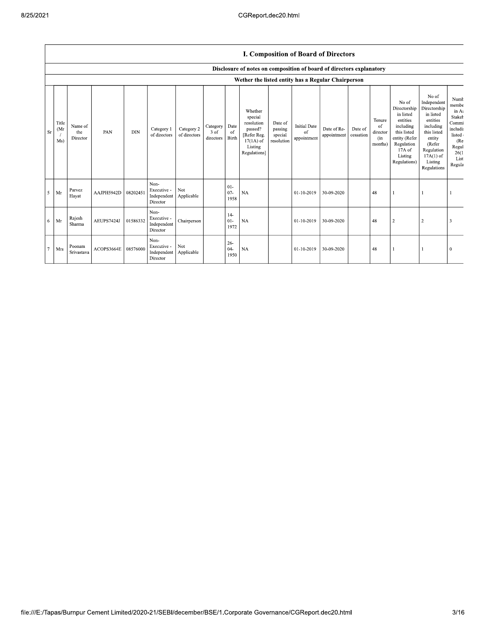## I. Composition of Board of Directors

|                |                     |                            |            |            |                                                |                            |                               |                             | Disclosure of notes on composition of board of directors explanatory                                 |                                             |                                          |                            |                      |                                            |                                                                                                                                                |                                                                                                                                                                      |                                                                                                           |
|----------------|---------------------|----------------------------|------------|------------|------------------------------------------------|----------------------------|-------------------------------|-----------------------------|------------------------------------------------------------------------------------------------------|---------------------------------------------|------------------------------------------|----------------------------|----------------------|--------------------------------------------|------------------------------------------------------------------------------------------------------------------------------------------------|----------------------------------------------------------------------------------------------------------------------------------------------------------------------|-----------------------------------------------------------------------------------------------------------|
|                |                     |                            |            |            |                                                |                            |                               |                             | Wether the listed entity has a Regular Chairperson                                                   |                                             |                                          |                            |                      |                                            |                                                                                                                                                |                                                                                                                                                                      |                                                                                                           |
| Sr.            | Title<br>(Mr<br>Ms) | Name of<br>the<br>Director | PAN        | <b>DIN</b> | Category 1<br>of directors                     | Category 2<br>of directors | Category<br>3 of<br>directors | Date<br>-of<br><b>Birth</b> | Whether<br>special<br>resolution<br>passed?<br>[Refer Reg.<br>$17(1A)$ of<br>Listing<br>Regulations] | Date of<br>passing<br>special<br>resolution | <b>Initial Date</b><br>of<br>appointment | Date of Re-<br>appointment | Date of<br>cessation | Tenure<br>of<br>director<br>(in<br>months) | No of<br>Directorship<br>in listed<br>entities<br>including<br>this listed<br>entity (Refer<br>Regulation<br>17A of<br>Listing<br>Regulations) | No of<br>Independent<br>Directorship<br>in listed<br>entities<br>including<br>this listed<br>entity<br>(Refer<br>Regulation<br>$17A(1)$ of<br>Listing<br>Regulations | Numb<br>membe<br>in At<br>Stakeh<br>Commi<br>includi<br>listed<br>(Re<br>Regul<br>26(1)<br>List<br>Regula |
| 5              | Mr                  | Parvez<br>Hayat            | AAJPH5942D | 08202451   | Non-<br>Executive -<br>Independent<br>Director | Not<br>Applicable          |                               | $01 -$<br>$07 -$<br>1958    | <b>NA</b>                                                                                            |                                             | 01-10-2019                               | 30-09-2020                 |                      | 48                                         |                                                                                                                                                |                                                                                                                                                                      |                                                                                                           |
| -6             | Mr                  | Rajesh<br>Sharma           | AEUPS7424J | 01586332   | Non-<br>Executive -<br>Independent<br>Director | Chairperson                |                               | $14-$<br>$01 -$<br>1972     | <b>NA</b>                                                                                            |                                             | 01-10-2019                               | 30-09-2020                 |                      | 48                                         | $\overline{2}$                                                                                                                                 | $\overline{2}$                                                                                                                                                       | 3                                                                                                         |
| $\overline{7}$ | Mrs                 | Poonam<br>Srivastava       | ACOPS3664E | 08576000   | Non-<br>Executive -<br>Independent<br>Director | Not<br>Applicable          |                               | $26 -$<br>$04 -$<br>1950    | <b>NA</b>                                                                                            |                                             | 01-10-2019                               | 30-09-2020                 |                      | 48                                         |                                                                                                                                                |                                                                                                                                                                      | $\Omega$                                                                                                  |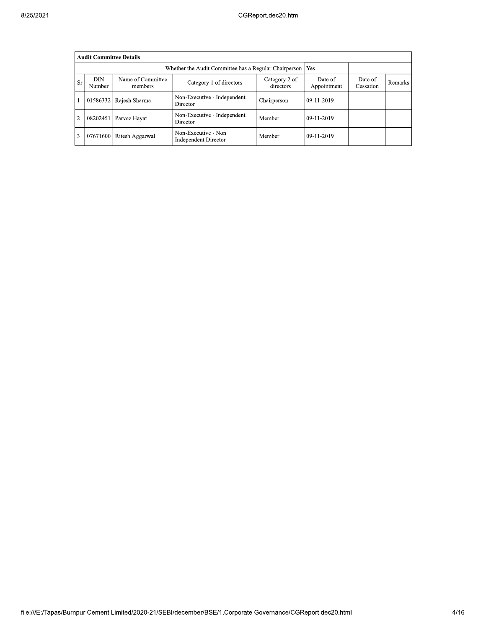| 8/25/2021 |                |                                                             |                                |                                                    | CGReport.dec20.html        |                        |                      |         |
|-----------|----------------|-------------------------------------------------------------|--------------------------------|----------------------------------------------------|----------------------------|------------------------|----------------------|---------|
|           |                |                                                             | <b>Audit Committee Details</b> |                                                    |                            |                        |                      |         |
|           |                | Whether the Audit Committee has a Regular Chairperson   Yes |                                |                                                    |                            |                        |                      |         |
|           | <b>Sr</b>      | DIN<br>Number                                               | Name of Committee<br>members   | Category 1 of directors                            | Category 2 of<br>directors | Date of<br>Appointment | Date of<br>Cessation | Remarks |
|           |                |                                                             | 01586332   Rajesh Sharma       | Non-Executive - Independent<br>Director            | Chairperson                | 09-11-2019             |                      |         |
|           | $\overline{c}$ |                                                             | 08202451 Parvez Hayat          | Non-Executive - Independent<br>Director            | Member                     | 09-11-2019             |                      |         |
|           | 3              |                                                             | 07671600 Ritesh Aggarwal       | Non-Executive - Non<br><b>Independent Director</b> | Member                     | 09-11-2019             |                      |         |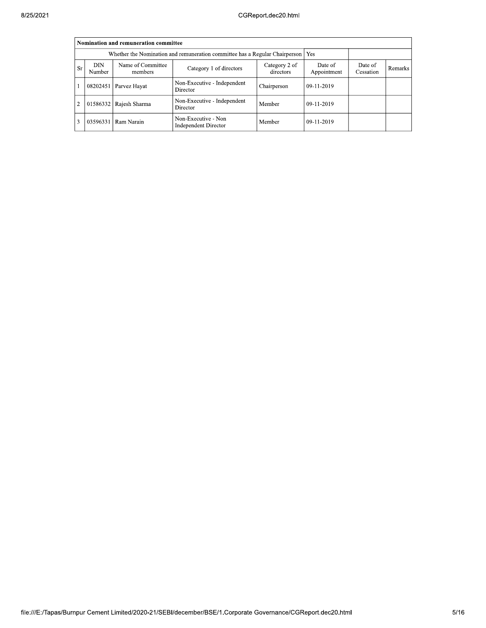|                |                                                                                                                                               | Nomination and remuneration committee                                             |                                             |             |            |  |  |  |  |
|----------------|-----------------------------------------------------------------------------------------------------------------------------------------------|-----------------------------------------------------------------------------------|---------------------------------------------|-------------|------------|--|--|--|--|
|                |                                                                                                                                               | Whether the Nomination and remuneration committee has a Regular Chairperson   Yes |                                             |             |            |  |  |  |  |
| <b>Sr</b>      | DIN<br>Name of Committee<br>Category 2 of<br>Date of<br>Category 1 of directors<br>Appointment<br>directors<br>Cessation<br>Number<br>members |                                                                                   |                                             |             |            |  |  |  |  |
|                | 08202451                                                                                                                                      | Parvez Hayat                                                                      | Non-Executive - Independent<br>Director     | Chairperson | 09-11-2019 |  |  |  |  |
| $\overline{2}$ | 01586332                                                                                                                                      | Rajesh Sharma                                                                     | Non-Executive - Independent<br>Director     | Member      | 09-11-2019 |  |  |  |  |
| 3              | 03596331                                                                                                                                      | Ram Narain                                                                        | Non-Executive - Non<br>Independent Director | Member      | 09-11-2019 |  |  |  |  |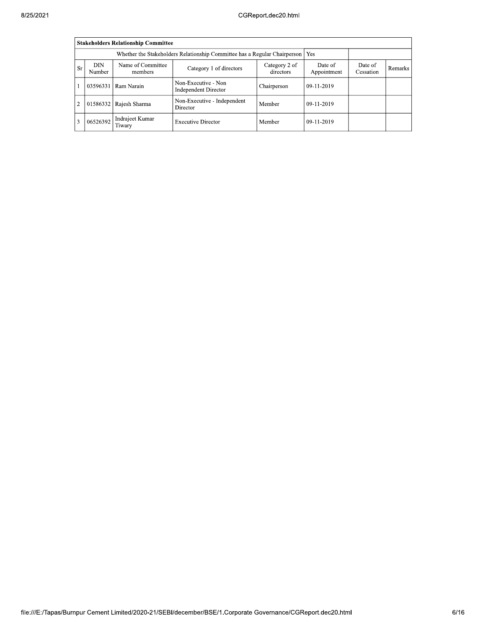|                |               | <b>Stakeholders Relationship Committee</b> |                                                                                 |                      |              |  |  |
|----------------|---------------|--------------------------------------------|---------------------------------------------------------------------------------|----------------------|--------------|--|--|
|                |               |                                            | Whether the Stakeholders Relationship Committee has a Regular Chairperson   Yes |                      |              |  |  |
| <b>Sr</b>      | DIN<br>Number | Date of<br>Appointment                     | Date of<br>Cessation                                                            | Remarks <sup>1</sup> |              |  |  |
|                | 03596331      | Ram Narain                                 | Non-Executive - Non<br>Independent Director                                     | Chairperson          | 09-11-2019   |  |  |
| $\overline{2}$ | 01586332      | Rajesh Sharma                              | Non-Executive - Independent<br>Director                                         | Member               | 09-11-2019   |  |  |
| 3              | 06526392      | Indrajeet Kumar<br>Tiwary                  | <b>Executive Director</b>                                                       | Member               | $09-11-2019$ |  |  |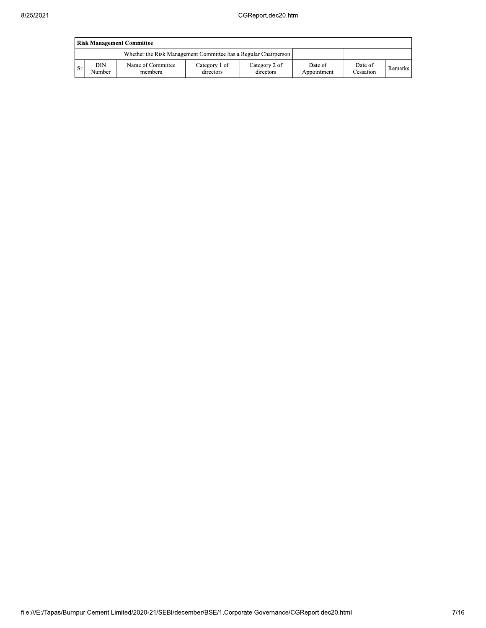|     | <b>Risk Management Committee</b> |                                                                 |                            |                            |                        |                      |         |  |  |  |  |  |  |
|-----|----------------------------------|-----------------------------------------------------------------|----------------------------|----------------------------|------------------------|----------------------|---------|--|--|--|--|--|--|
|     |                                  | Whether the Risk Management Committee has a Regular Chairperson |                            |                            |                        |                      |         |  |  |  |  |  |  |
| -Sr | DIN<br>Number                    | Name of Committee<br>members                                    | Category 1 of<br>directors | Category 2 of<br>directors | Date of<br>Appointment | Date of<br>Cessation | Remarks |  |  |  |  |  |  |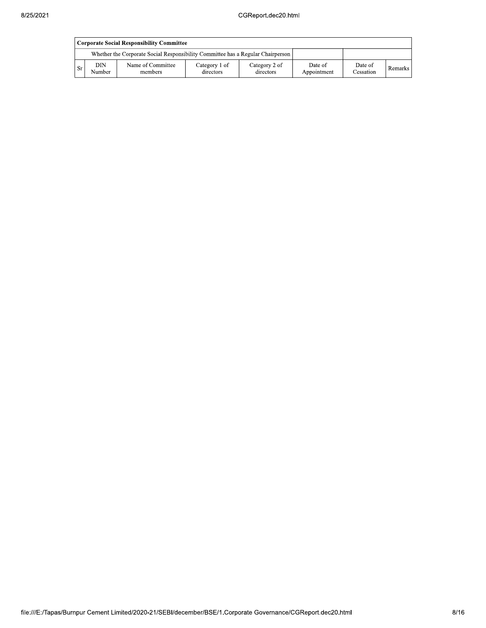|     | Corporate Social Responsibility Committee |                                                                                 |                            |                            |                        |                      |           |  |  |  |  |  |
|-----|-------------------------------------------|---------------------------------------------------------------------------------|----------------------------|----------------------------|------------------------|----------------------|-----------|--|--|--|--|--|
|     |                                           | Whether the Corporate Social Responsibility Committee has a Regular Chairperson |                            |                            |                        |                      |           |  |  |  |  |  |
| -Sr | DIN<br>Number                             | Name of Committee<br>members                                                    | Category 1 of<br>directors | Category 2 of<br>directors | Date of<br>Appointment | Date of<br>Cessation | Remarks I |  |  |  |  |  |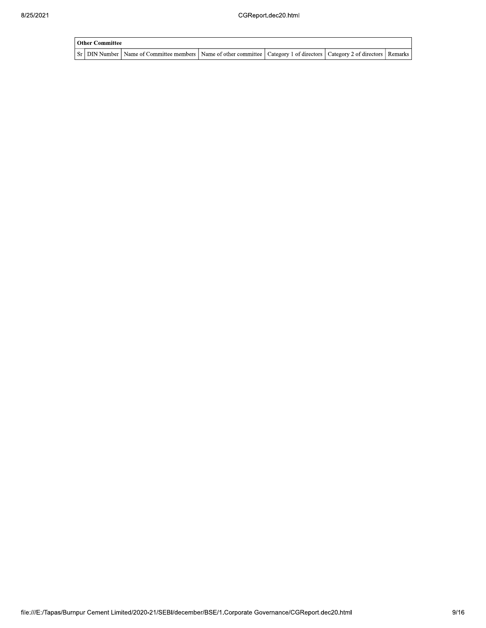| l Other Committee |                                                                                                                                     |  |  |
|-------------------|-------------------------------------------------------------------------------------------------------------------------------------|--|--|
|                   | Sr   DIN Number   Name of Committee members   Name of other committee   Category 1 of directors   Category 2 of directors   Remarks |  |  |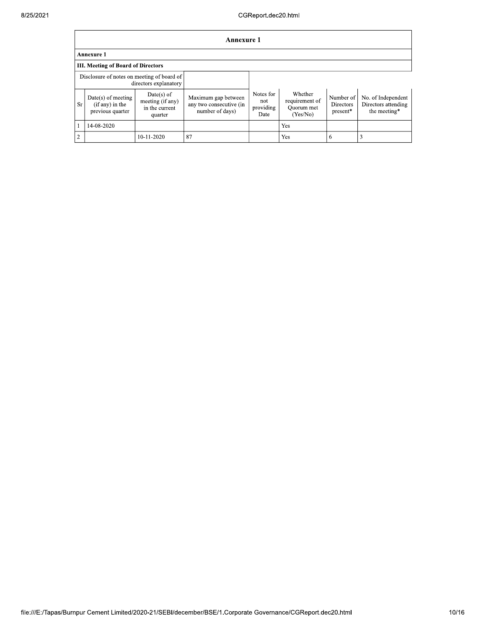|                | Annexure 1                                                    |                                                               |                                                                   |                                       |                                                     |                                    |                                                           |  |  |  |  |  |
|----------------|---------------------------------------------------------------|---------------------------------------------------------------|-------------------------------------------------------------------|---------------------------------------|-----------------------------------------------------|------------------------------------|-----------------------------------------------------------|--|--|--|--|--|
|                | <b>Annexure 1</b>                                             |                                                               |                                                                   |                                       |                                                     |                                    |                                                           |  |  |  |  |  |
|                | <b>III. Meeting of Board of Directors</b>                     |                                                               |                                                                   |                                       |                                                     |                                    |                                                           |  |  |  |  |  |
|                | Disclosure of notes on meeting of board of                    | directors explanatory                                         |                                                                   |                                       |                                                     |                                    |                                                           |  |  |  |  |  |
| Sr             | $Date(s)$ of meeting<br>$(if any)$ in the<br>previous quarter | $Date(s)$ of<br>meeting (if any)<br>in the current<br>quarter | Maximum gap between<br>any two consecutive (in<br>number of days) | Notes for<br>not<br>providing<br>Date | Whether<br>requirement of<br>Ouorum met<br>(Yes/No) | Number of<br>Directors<br>present* | No. of Independent<br>Directors attending<br>the meeting* |  |  |  |  |  |
|                | 14-08-2020                                                    |                                                               |                                                                   |                                       | <b>Yes</b>                                          |                                    |                                                           |  |  |  |  |  |
| $\overline{2}$ |                                                               | 10-11-2020                                                    | 87                                                                |                                       | Yes                                                 | 6                                  | 3                                                         |  |  |  |  |  |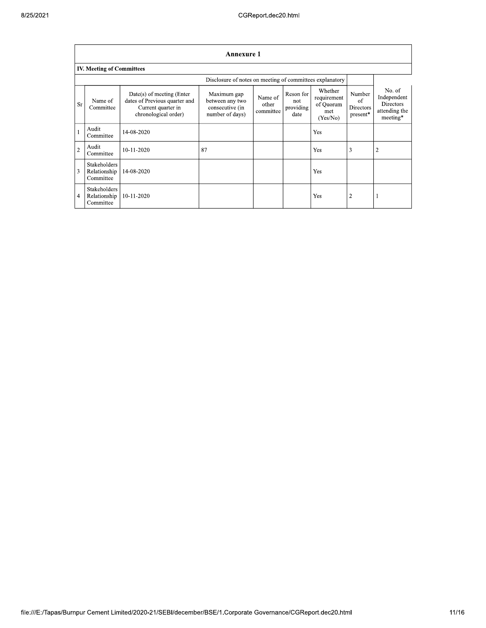|                                                          | <b>Annexure 1</b>                                |                                                                                                            |                                                                      |                               |                                       |                                                        |                                                      |                                                                        |  |  |  |  |
|----------------------------------------------------------|--------------------------------------------------|------------------------------------------------------------------------------------------------------------|----------------------------------------------------------------------|-------------------------------|---------------------------------------|--------------------------------------------------------|------------------------------------------------------|------------------------------------------------------------------------|--|--|--|--|
|                                                          | <b>IV. Meeting of Committees</b>                 |                                                                                                            |                                                                      |                               |                                       |                                                        |                                                      |                                                                        |  |  |  |  |
| Disclosure of notes on meeting of committees explanatory |                                                  |                                                                                                            |                                                                      |                               |                                       |                                                        |                                                      |                                                                        |  |  |  |  |
| <b>Sr</b>                                                | Name of<br>Committee                             | $Date(s)$ of meeting (Enter<br>dates of Previous quarter and<br>Current quarter in<br>chronological order) | Maximum gap<br>between any two<br>consecutive (in<br>number of days) | Name of<br>other<br>committee | Reson for<br>not<br>providing<br>date | Whether<br>requirement<br>of Quorum<br>met<br>(Yes/No) | Number<br>of<br>Directors<br>$\, {\rm present}^* \,$ | No. of<br>Independent<br><b>Directors</b><br>attending the<br>meeting* |  |  |  |  |
| $\mathbf{1}$                                             | Audit<br>Committee                               | 14-08-2020                                                                                                 |                                                                      |                               |                                       | Yes                                                    |                                                      |                                                                        |  |  |  |  |
| $\overline{2}$                                           | Audit<br>Committee                               | 10-11-2020                                                                                                 | 87                                                                   |                               |                                       | Yes                                                    | 3                                                    | 2                                                                      |  |  |  |  |
| 3                                                        | <b>Stakeholders</b><br>Relationship<br>Committee | 14-08-2020                                                                                                 |                                                                      |                               |                                       | Yes                                                    |                                                      |                                                                        |  |  |  |  |
| $\overline{4}$                                           | Stakeholders<br>Relationship<br>Committee        | 10-11-2020                                                                                                 |                                                                      |                               |                                       | Yes                                                    | $\overline{\mathbf{c}}$                              |                                                                        |  |  |  |  |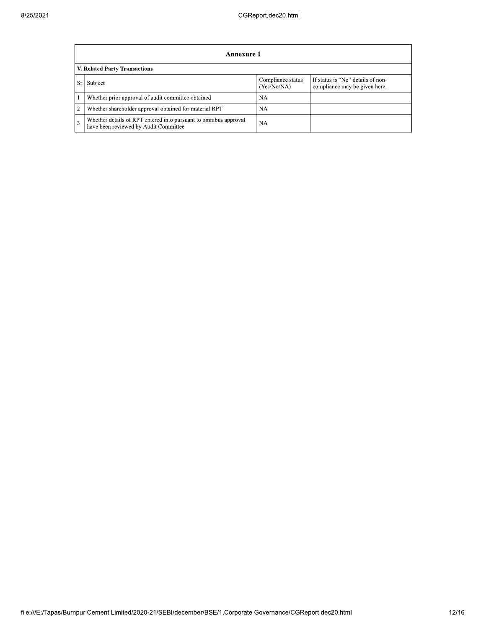|                               | Annexure 1                                                                                                |                                  |                                                                    |  |  |  |  |
|-------------------------------|-----------------------------------------------------------------------------------------------------------|----------------------------------|--------------------------------------------------------------------|--|--|--|--|
| V. Related Party Transactions |                                                                                                           |                                  |                                                                    |  |  |  |  |
| Sr                            | Subject                                                                                                   | Compliance status<br>(Yes/No/NA) | If status is "No" details of non-<br>compliance may be given here. |  |  |  |  |
|                               | Whether prior approval of audit committee obtained                                                        | NA                               |                                                                    |  |  |  |  |
| $\overline{2}$                | Whether shareholder approval obtained for material RPT                                                    | NA                               |                                                                    |  |  |  |  |
| 3                             | Whether details of RPT entered into pursuant to omnibus approval<br>have been reviewed by Audit Committee | <b>NA</b>                        |                                                                    |  |  |  |  |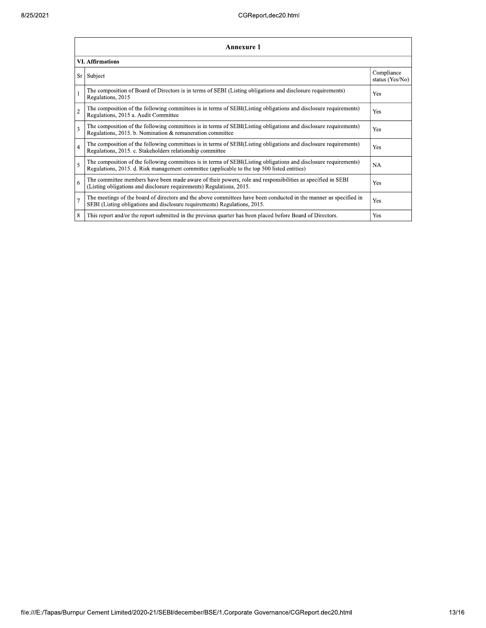| CGReport.dec20.html<br><b>Annexure 1</b> |                                                                                                                                                                                                                 |                               |  |  |  |  |
|------------------------------------------|-----------------------------------------------------------------------------------------------------------------------------------------------------------------------------------------------------------------|-------------------------------|--|--|--|--|
|                                          |                                                                                                                                                                                                                 |                               |  |  |  |  |
|                                          | Sr Subject                                                                                                                                                                                                      | Compliance<br>status (Yes/No) |  |  |  |  |
|                                          | The composition of Board of Directors is in terms of SEBI (Listing obligations and disclosure requirements)<br>Regulations, 2015                                                                                | Yes                           |  |  |  |  |
| $\overline{2}$                           | The composition of the following committees is in terms of SEBI(Listing obligations and disclosure requirements)<br>Regulations, 2015 a. Audit Committee                                                        | Yes                           |  |  |  |  |
| 3                                        | The composition of the following committees is in terms of SEBI(Listing obligations and disclosure requirements)<br>Regulations, 2015. b. Nomination & remuneration committee                                   | Yes                           |  |  |  |  |
| 4                                        | The composition of the following committees is in terms of SEBI(Listing obligations and disclosure requirements)<br>Regulations, 2015. c. Stakeholders relationship committee                                   | Yes                           |  |  |  |  |
| 5                                        | The composition of the following committees is in terms of SEBI(Listing obligations and disclosure requirements)<br>Regulations, 2015. d. Risk management committee (applicable to the top 500 listed entities) | <b>NA</b>                     |  |  |  |  |
| 6                                        | The committee members have been made aware of their powers, role and responsibilities as specified in SEBI<br>(Listing obligations and disclosure requirements) Regulations, 2015.                              | Yes                           |  |  |  |  |
|                                          | The meetings of the board of directors and the above committees have been conducted in the manner as specified in<br>SEBI (Listing obligations and disclosure requirements) Regulations, 2015.                  | Yes                           |  |  |  |  |
| 8                                        | This report and/or the report submitted in the previous quarter has been placed before Board of Directors.                                                                                                      | Yes                           |  |  |  |  |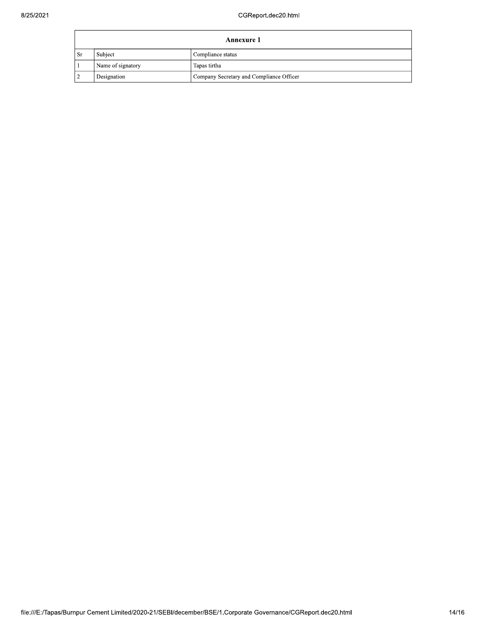| Annexure 1 |                   |                                          |  |  |
|------------|-------------------|------------------------------------------|--|--|
| l Sr       | Subject           | Compliance status                        |  |  |
|            | Name of signatory | Tapas tirtha                             |  |  |
|            | Designation       | Company Secretary and Compliance Officer |  |  |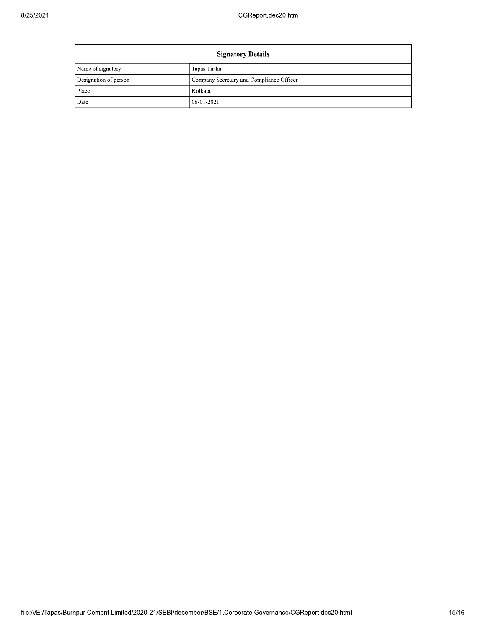| <b>Signatory Details</b> |                                          |  |
|--------------------------|------------------------------------------|--|
| Name of signatory        | Tapas Tirtha                             |  |
| Designation of person    | Company Secretary and Compliance Officer |  |
| Place                    | Kolkata                                  |  |
| Date                     | $06-01-2021$                             |  |